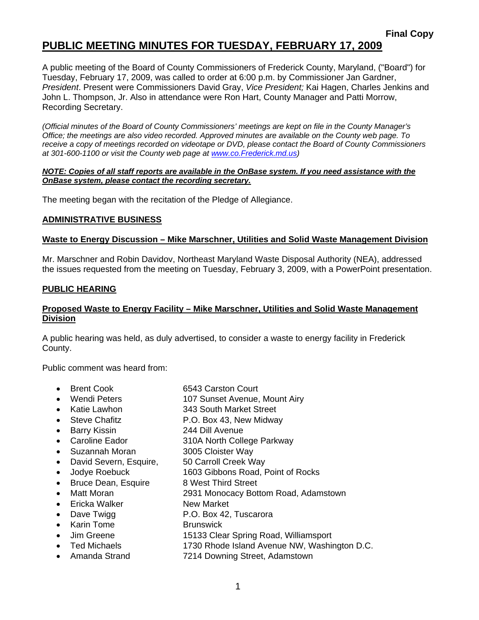# **PUBLIC MEETING MINUTES FOR TUESDAY, FEBRUARY 17, 2009**

A public meeting of the Board of County Commissioners of Frederick County, Maryland, ("Board") for Tuesday, February 17, 2009, was called to order at 6:00 p.m. by Commissioner Jan Gardner, *President*. Present were Commissioners David Gray, *Vice President;* Kai Hagen, Charles Jenkins and John L. Thompson, Jr. Also in attendance were Ron Hart, County Manager and Patti Morrow, Recording Secretary.

*(Official minutes of the Board of County Commissioners' meetings are kept on file in the County Manager's Office; the meetings are also video recorded. Approved minutes are available on the County web page. To receive a copy of meetings recorded on videotape or DVD, please contact the Board of County Commissioners at 301-600-1100 or visit the County web page at [www.co](http://www.co/).Frederick.md.us)* 

#### *NOTE: Copies of all staff reports are available in the OnBase system. If you need assistance with the OnBase system, please contact the recording secretary.*

The meeting began with the recitation of the Pledge of Allegiance.

### **ADMINISTRATIVE BUSINESS**

#### **Waste to Energy Discussion – Mike Marschner, Utilities and Solid Waste Management Division**

Mr. Marschner and Robin Davidov, Northeast Maryland Waste Disposal Authority (NEA), addressed the issues requested from the meeting on Tuesday, February 3, 2009, with a PowerPoint presentation.

#### **PUBLIC HEARING**

### **Proposed Waste to Energy Facility – Mike Marschner, Utilities and Solid Waste Management Division**

A public hearing was held, as duly advertised, to consider a waste to energy facility in Frederick County.

Public comment was heard from:

- Brent Cook 6543 Carston Court
	- Wendi Peters 107 Sunset Avenue, Mount Airy
- Katie Lawhon 343 South Market Street
- Steve Chafitz P.O. Box 43, New Midway
- Barry Kissin 244 Dill Avenue
- Caroline Eador 310A North College Parkway
- Suzannah Moran 3005 Cloister Way
- David Severn, Esquire, 50 Carroll Creek Way
- Jodye Roebuck 1603 Gibbons Road, Point of Rocks
- 
- Bruce Dean, Esquire 8 West Third Street
- Matt Moran 2931 Monocacy Bottom Road, Adamstown
- **Ericka Walker New Market**
- Dave Twigg **P.O. Box 42, Tuscarora**
- **Karin Tome** Brunswick
- Jim Greene 15133 Clear Spring Road, Williamsport
- Ted Michaels 1730 Rhode Island Avenue NW, Washington D.C.
- Amanda Strand 7214 Downing Street, Adamstown